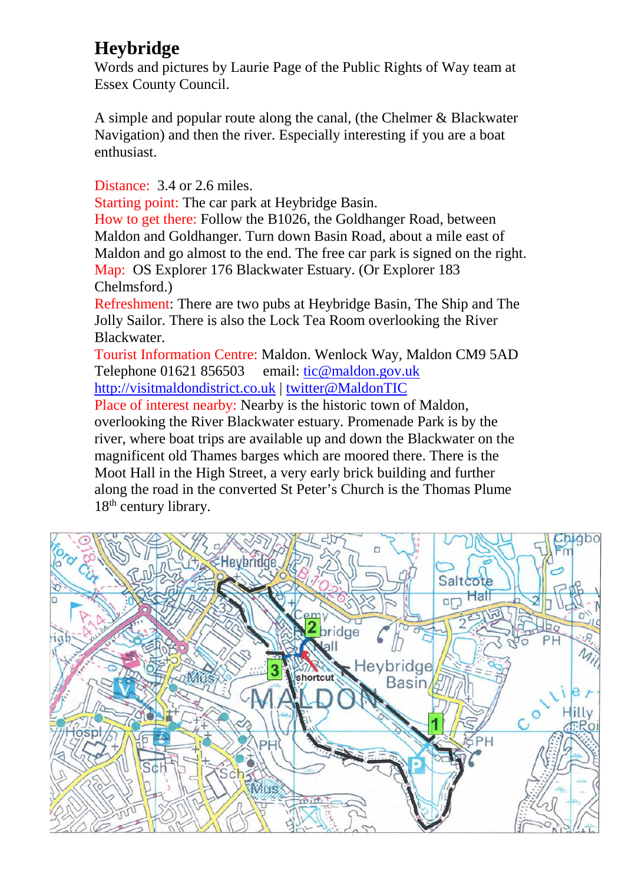## **Heybridge**

Words and pictures by Laurie Page of the Public Rights of Way team at Essex County Council.

A simple and popular route along the canal, (the Chelmer & Blackwater Navigation) and then the river. Especially interesting if you are a boat enthusiast.

Distance: 3.4 or 2.6 miles.

Starting point: The car park at Heybridge Basin.

How to get there: Follow the B1026, the Goldhanger Road, between Maldon and Goldhanger. Turn down Basin Road, about a mile east of Maldon and go almost to the end. The free car park is signed on the right. Map: OS Explorer 176 Blackwater Estuary. (Or Explorer 183 Chelmsford.)

Refreshment: There are two pubs at Heybridge Basin, The Ship and The Jolly Sailor. There is also the Lock Tea Room overlooking the River Blackwater.

Tourist Information Centre: Maldon. Wenlock Way, Maldon CM9 5AD Telephone 01621 856503 email: [tic@maldon.gov.uk](mailto:tic@maldon.gov.uk) [http://visitmaldondistrict.co.uk](http://visitmaldondistrict.co.uk/) | [twitter@MaldonTIC](https://twitter.com/maldontic?lang=en)

Place of interest nearby: Nearby is the historic town of Maldon, overlooking the River Blackwater estuary. Promenade Park is by the river, where boat trips are available up and down the Blackwater on the magnificent old Thames barges which are moored there. There is the Moot Hall in the High Street, a very early brick building and further along the road in the converted St Peter's Church is the Thomas Plume 18<sup>th</sup> century library.

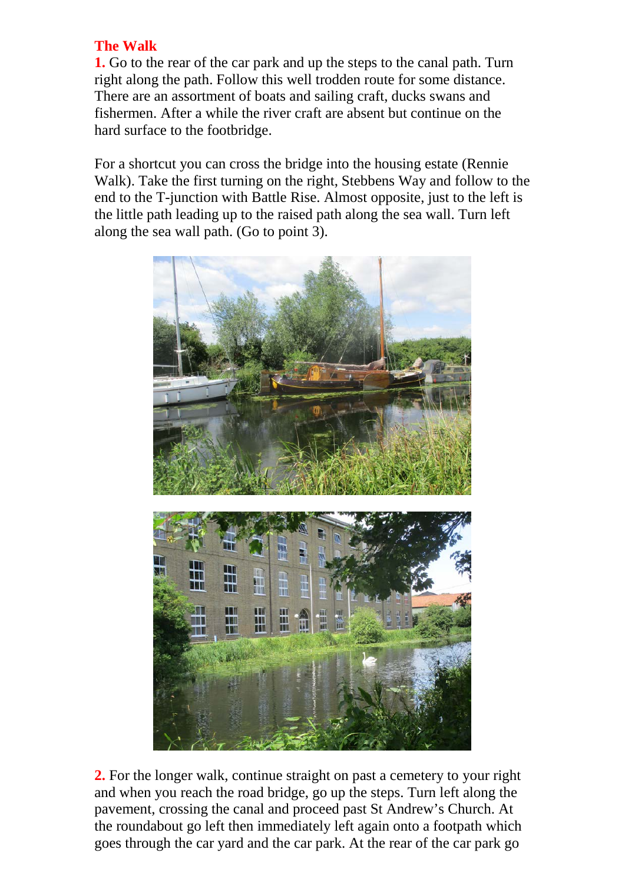## **The Walk**

**1.** Go to the rear of the car park and up the steps to the canal path. Turn right along the path. Follow this well trodden route for some distance. There are an assortment of boats and sailing craft, ducks swans and fishermen. After a while the river craft are absent but continue on the hard surface to the footbridge.

For a shortcut you can cross the bridge into the housing estate (Rennie Walk). Take the first turning on the right, Stebbens Way and follow to the end to the T-junction with Battle Rise. Almost opposite, just to the left is the little path leading up to the raised path along the sea wall. Turn left along the sea wall path. (Go to point 3).



**2.** For the longer walk, continue straight on past a cemetery to your right and when you reach the road bridge, go up the steps. Turn left along the pavement, crossing the canal and proceed past St Andrew's Church. At the roundabout go left then immediately left again onto a footpath which goes through the car yard and the car park. At the rear of the car park go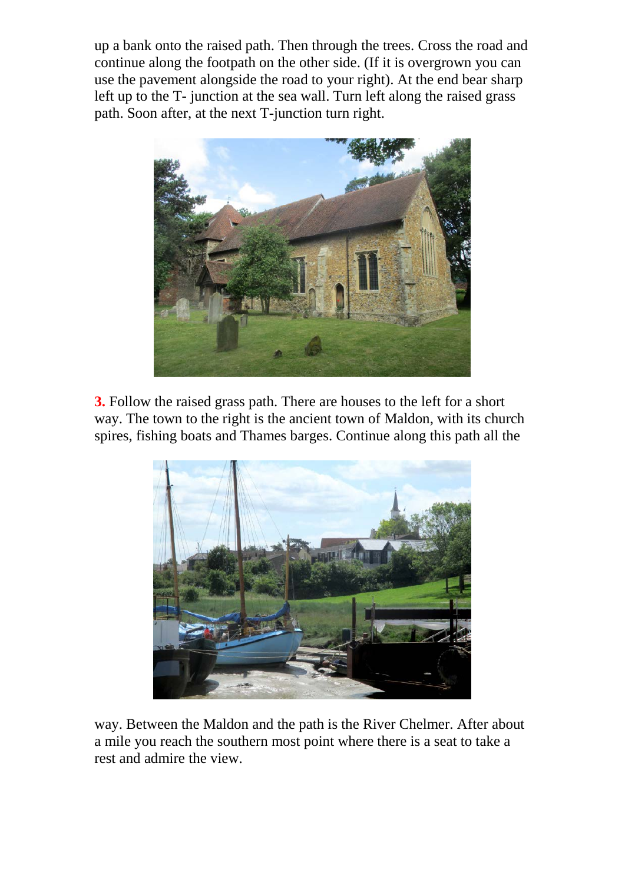up a bank onto the raised path. Then through the trees. Cross the road and continue along the footpath on the other side. (If it is overgrown you can use the pavement alongside the road to your right). At the end bear sharp left up to the T- junction at the sea wall. Turn left along the raised grass path. Soon after, at the next T-junction turn right.



**3.** Follow the raised grass path. There are houses to the left for a short way. The town to the right is the ancient town of Maldon, with its church spires, fishing boats and Thames barges. Continue along this path all the



way. Between the Maldon and the path is the River Chelmer. After about a mile you reach the southern most point where there is a seat to take a rest and admire the view.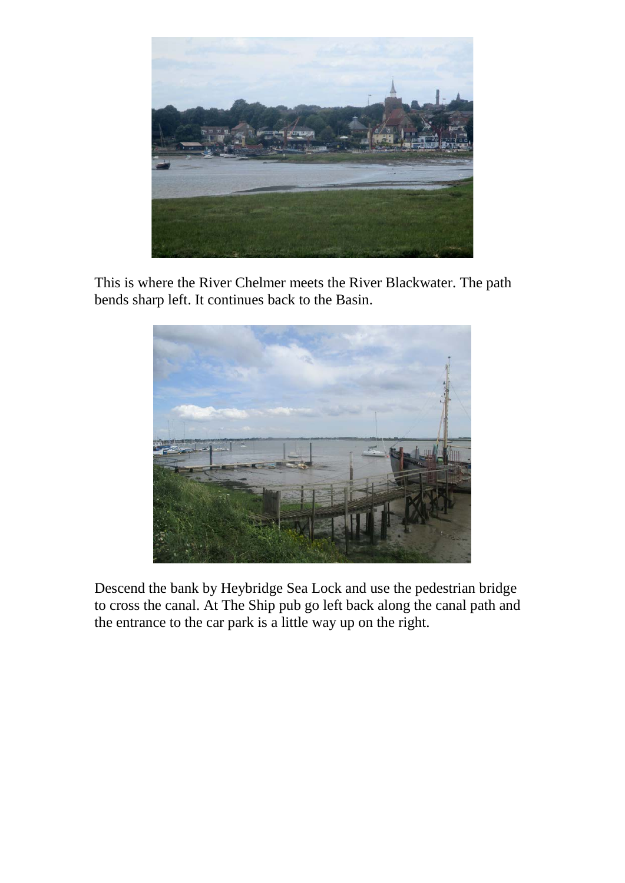

This is where the River Chelmer meets the River Blackwater. The path bends sharp left. It continues back to the Basin.



Descend the bank by Heybridge Sea Lock and use the pedestrian bridge to cross the canal. At The Ship pub go left back along the canal path and the entrance to the car park is a little way up on the right.